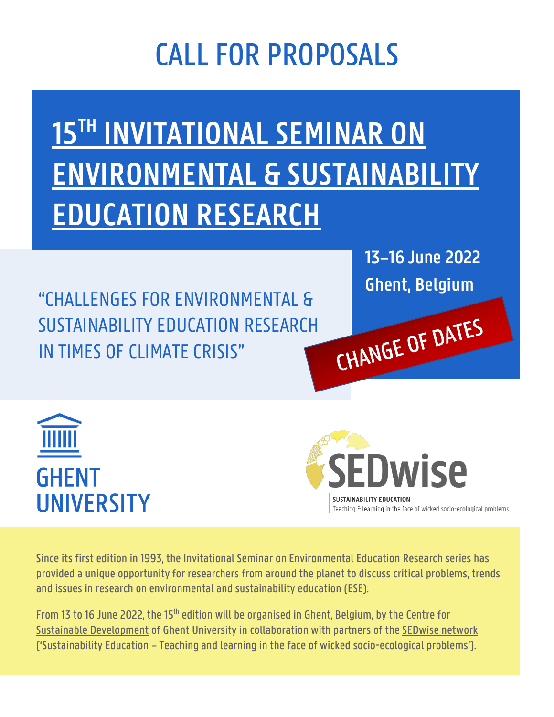## CALL FOR PROPOSALS

# **15TH INVITATIONAL SEMINAR ON ENVIRONMENTAL & SUSTAINABILITY EDUCATION RESEARCH**

"CHALLENGES FOR ENVIRONMENTAL & SUSTAINABILITY EDUCATION RESEARCH IN TIMES OF CLIMATE CRISIS"

**13–16 June 2022 Ghent, Belgium**

CHANGE OF DATES





Since its first edition in 1993, the Invitational Seminar on Environmental Education Research series has provided a unique opportunity for researchers from around the planet to discuss critical problems, trends and issues in research on environmental and sustainability education (ESE).

From 13 to 16 June 2022, the 15th edition will be organised in Ghent, Belgium, by the [Centre for](https://www.cdo.ugent.be/)  [Sustainable Development](https://www.cdo.ugent.be/) of Ghent University in collaboration with partners of th[e SEDwise network](https://www.cdo.ugent.be/network/international-thematic-network-sedwise-sustainability-education) ('Sustainability Education – Teaching and learning in the face of wicked socio-ecological problems').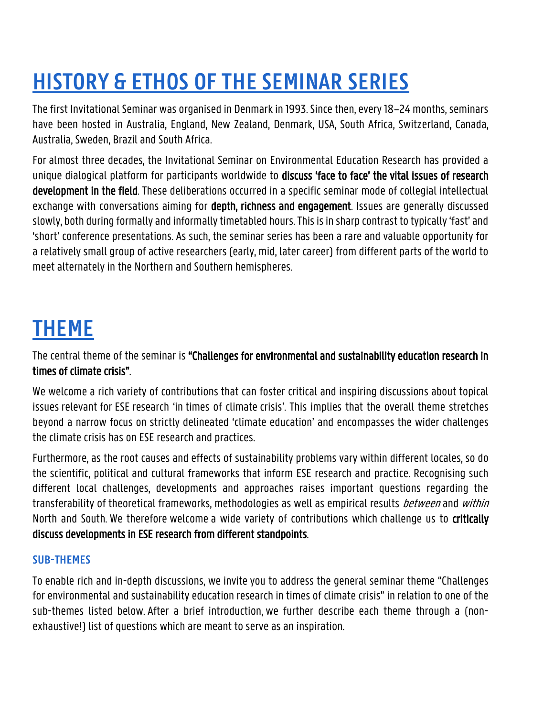### **HISTORY & ETHOS OF THE SEMINAR SERIES**

The first Invitational Seminar was organised in Denmark in 1993. Since then, every 18–24 months, seminars have been hosted in Australia, England, New Zealand, Denmark, USA, South Africa, Switzerland, Canada, Australia, Sweden, Brazil and South Africa.

For almost three decades, the Invitational Seminar on Environmental Education Research has provided a unique dialogical platform for participants worldwide to discuss 'face to face' the vital issues of research development in the field. These deliberations occurred in a specific seminar mode of collegial intellectual exchange with conversations aiming for **depth, richness and engagement**. Issues are generally discussed slowly, both during formally and informally timetabled hours. This is in sharp contrast to typically 'fast' and 'short' conference presentations. As such, the seminar series has been a rare and valuable opportunity for a relatively small group of active researchers (early, mid, later career) from different parts of the world to meet alternately in the Northern and Southern hemispheres.

#### **THEME**

The central theme of the seminar is "Challenges for environmental and sustainability education research in times of climate crisis".

We welcome a rich variety of contributions that can foster critical and inspiring discussions about topical issues relevant for ESE research 'in times of climate crisis'. This implies that the overall theme stretches beyond a narrow focus on strictly delineated 'climate education' and encompasses the wider challenges the climate crisis has on ESE research and practices.

Furthermore, as the root causes and effects of sustainability problems vary within different locales, so do the scientific, political and cultural frameworks that inform ESE research and practice. Recognising such different local challenges, developments and approaches raises important questions regarding the transferability of theoretical frameworks, methodologies as well as empirical results *between* and *within* North and South. We therefore welcome a wide variety of contributions which challenge us to critically discuss developments in ESE research from different standpoints.

#### **SUB-THEMES**

To enable rich and in-depth discussions, we invite you to address the general seminar theme "Challenges for environmental and sustainability education research in times of climate crisis" in relation to one of the sub-themes listed below. After a brief introduction, we further describe each theme through a (nonexhaustive!) list of questions which are meant to serve as an inspiration.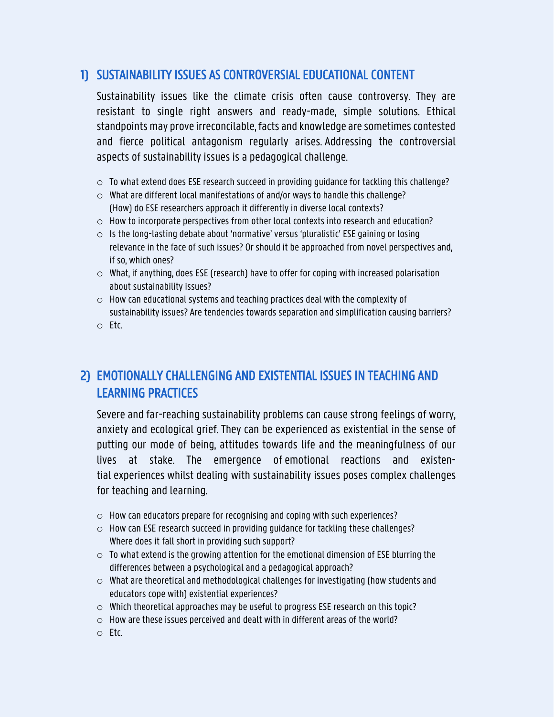#### 1) SUSTAINABILITY ISSUES AS CONTROVERSIAL EDUCATIONAL CONTENT

Sustainability issues like the climate crisis often cause controversy. They are resistant to single right answers and ready-made, simple solutions. Ethical standpoints may prove irreconcilable, facts and knowledge are sometimes contested and fierce political antagonism regularly arises. Addressing the controversial aspects of sustainability issues is a pedagogical challenge.

- $\circ$  To what extend does ESE research succeed in providing quidance for tackling this challenge?
- o What are different local manifestations of and/or ways to handle this challenge? (How) do ESE researchers approach it differently in diverse local contexts?
- o How to incorporate perspectives from other local contexts into research and education?
- $\circ$  Is the long-lasting debate about 'normative' versus 'pluralistic' ESE gaining or losing relevance in the face of such issues? Or should it be approached from novel perspectives and, if so, which ones?
- $\circ$  What, if anything, does ESE (research) have to offer for coping with increased polarisation about sustainability issues?
- o How can educational systems and teaching practices deal with the complexity of sustainability issues? Are tendencies towards separation and simplification causing barriers?
- o Etc.

#### 2) EMOTIONALLY CHALLENGING AND EXISTENTIAL ISSUES IN TEACHING AND LEARNING PRACTICES

Severe and far-reaching sustainability problems can cause strong feelings of worry, anxiety and ecological grief. They can be experienced as existential in the sense of putting our mode of being, attitudes towards life and the meaningfulness of our lives at stake. The emergence of emotional reactions and existential experiences whilst dealing with sustainability issues poses complex challenges for teaching and learning.

- o How can educators prepare for recognising and coping with such experiences?
- o How can ESE research succeed in providing guidance for tackling these challenges? Where does it fall short in providing such support?
- $\circ$  To what extend is the growing attention for the emotional dimension of ESE blurring the differences between a psychological and a pedagogical approach?
- $\circ$  What are theoretical and methodological challenges for investigating (how students and educators cope with) existential experiences?
- $\circ$  Which theoretical approaches may be useful to progress ESE research on this topic?
- o How are these issues perceived and dealt with in different areas of the world?
- o Etc.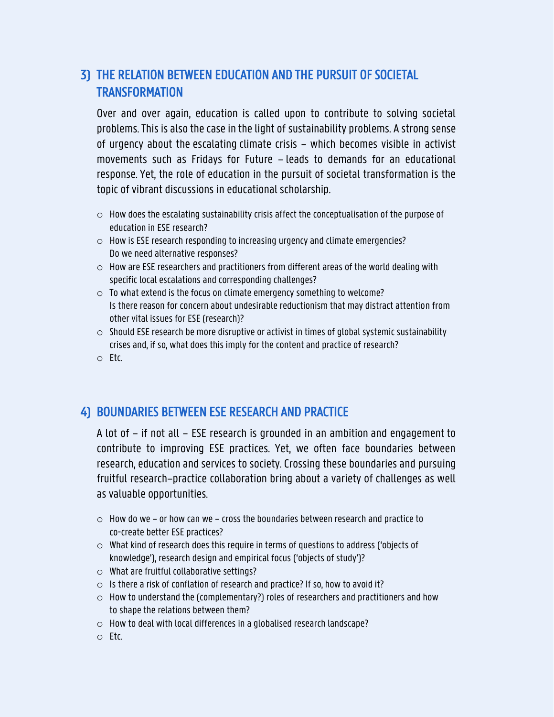#### 3) THE RELATION BETWEEN EDUCATION AND THE PURSUIT OF SOCIETAL **TRANSFORMATION**

Over and over again, education is called upon to contribute to solving societal problems. This is also the case in the light of sustainability problems. A strong sense of urgency about the escalating climate crisis  $-$  which becomes visible in activist movements such as Fridays for Future - leads to demands for an educational response. Yet, the role of education in the pursuit of societal transformation is the topic of vibrant discussions in educational scholarship.

- $\circ$  How does the escalating sustainability crisis affect the conceptualisation of the purpose of education in ESE research?
- o How is ESE research responding to increasing urgency and climate emergencies? Do we need alternative responses?
- $\circ$  How are ESE researchers and practitioners from different areas of the world dealing with specific local escalations and corresponding challenges?
- o To what extend is the focus on climate emergency something to welcome? Is there reason for concern about undesirable reductionism that may distract attention from other vital issues for ESE (research)?
- $\circ$  Should ESE research be more disruptive or activist in times of global systemic sustainability crises and, if so, what does this imply for the content and practice of research?
- o Etc.

#### 4) BOUNDARIES BETWEEN ESE RESEARCH AND PRACTICE

A lot of - if not all - ESE research is grounded in an ambition and engagement to contribute to improving ESE practices. Yet, we often face boundaries between research, education and services to society. Crossing these boundaries and pursuing fruitful research-practice collaboration bring about a variety of challenges as well as valuable opportunities.

- $\circ$  How do we or how can we cross the boundaries between research and practice to co-create better ESE practices?
- $\circ$  What kind of research does this require in terms of questions to address ('objects of knowledge'), research design and empirical focus ('objects of study')?
- o What are fruitful collaborative settings?
- $\circ$  Is there a risk of conflation of research and practice? If so, how to avoid it?
- $\circ$  How to understand the (complementary?) roles of researchers and practitioners and how to shape the relations between them?
- o How to deal with local differences in a globalised research landscape?
- o Etc.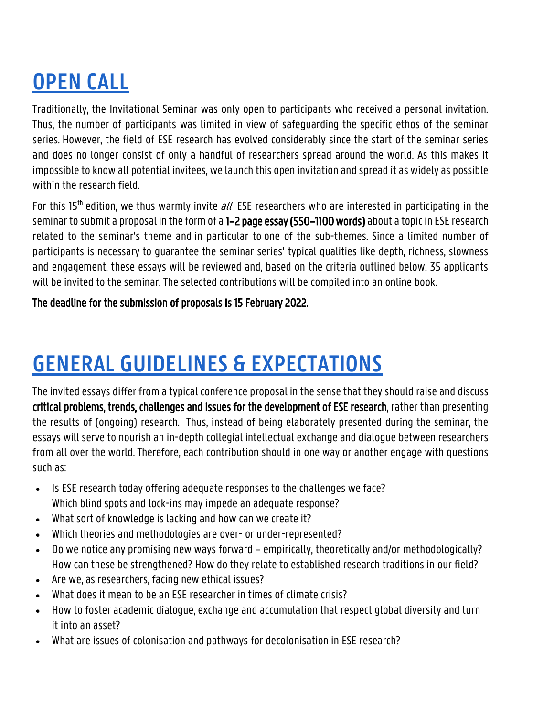### **OPEN CALL**

Traditionally, the Invitational Seminar was only open to participants who received a personal invitation. Thus, the number of participants was limited in view of safeguarding the specific ethos of the seminar series. However, the field of ESE research has evolved considerably since the start of the seminar series and does no longer consist of only a handful of researchers spread around the world. As this makes it impossible to know all potential invitees, we launch this open invitation and spread it as widely as possible within the research field.

For this 15<sup>th</sup> edition, we thus warmly invite  $all$  ESE researchers who are interested in participating in the seminar to submit a proposal in the form of a 1–2 page essay (550–1100 words) about a topic in ESE research related to the seminar's theme and in particular to one of the sub-themes. Since a limited number of participants is necessary to guarantee the seminar series' typical qualities like depth, richness, slowness and engagement, these essays will be reviewed and, based on the criteria outlined below, 35 applicants will be invited to the seminar. The selected contributions will be compiled into an online book.

The deadline for the submission of proposals is 15 February 2022.

### **GENERAL GUIDELINES & EXPECTATIONS**

The invited essays differ from a typical conference proposal in the sense that they should raise and discuss critical problems, trends, challenges and issues for the development of ESE research, rather than presenting the results of (ongoing) research. Thus, instead of being elaborately presented during the seminar, the essays will serve to nourish an in-depth collegial intellectual exchange and dialogue between researchers from all over the world. Therefore, each contribution should in one way or another engage with questions such as:

- Is ESE research today offering adequate responses to the challenges we face? Which blind spots and lock-ins may impede an adequate response?
- What sort of knowledge is lacking and how can we create it?
- Which theories and methodologies are over- or under-represented?
- Do we notice any promising new ways forward empirically, theoretically and/or methodologically? How can these be strengthened? How do they relate to established research traditions in our field?
- Are we, as researchers, facing new ethical issues?
- What does it mean to be an ESE researcher in times of climate crisis?
- How to foster academic dialogue, exchange and accumulation that respect global diversity and turn it into an asset?
- What are issues of colonisation and pathways for decolonisation in ESE research?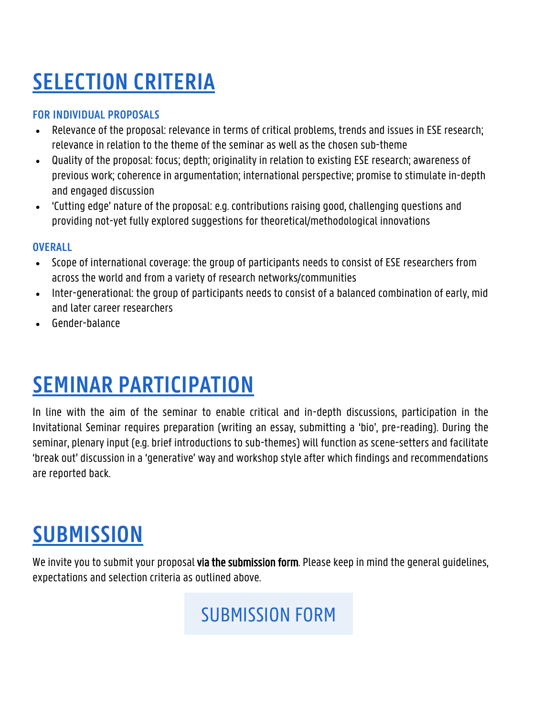### **SELECTION CRITERIA**

#### **FOR INDIVIDUAL PROPOSALS**

- Relevance of the proposal: relevance in terms of critical problems, trends and issues in ESE research; relevance in relation to the theme of the seminar as well as the chosen sub-theme
- Quality of the proposal: focus; depth; originality in relation to existing ESE research; awareness of previous work; coherence in argumentation; international perspective; promise to stimulate in-depth and engaged discussion
- 'Cutting edge' nature of the proposal: e.g. contributions raising good, challenging questions and providing not-yet fully explored suggestions for theoretical/methodological innovations

#### **OVERALL**

- Scope of international coverage: the group of participants needs to consist of ESE researchers from across the world and from a variety of research networks/communities
- Inter-generational: the group of participants needs to consist of a balanced combination of early, mid and later career researchers
- Gender-balance

### **SEMINAR PARTICIPATION**

In line with the aim of the seminar to enable critical and in-depth discussions, participation in the Invitational Seminar requires preparation (writing an essay, submitting a 'bio', pre-reading). During the seminar, plenary input (e.g. brief introductions to sub-themes) will function as scene-setters and facilitate 'break out' discussion in a 'generative' way and workshop style after which findings and recommendations are reported back.

#### **SUBMISSION**

We invite you to submit your proposal **via the submission form**. Please keep in mind the general guidelines, expectations and selection criteria as outlined above.

#### [SUBMISSION FORM](https://forms.office.com/r/q79tCLV28z)